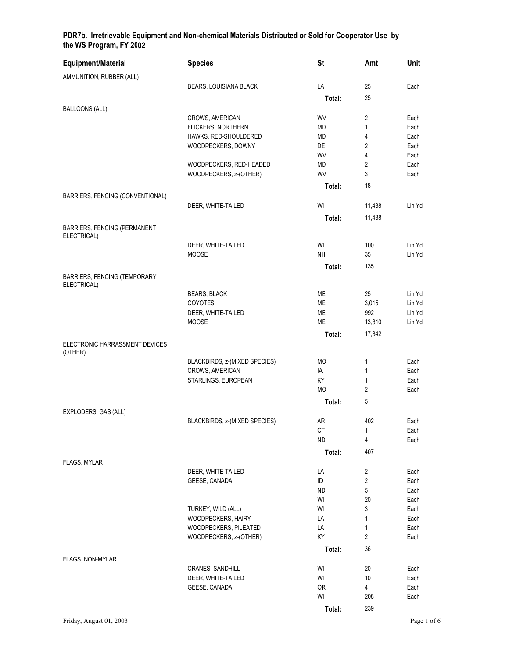| Equipment/Material                                 | <b>Species</b>                           | <b>St</b>              | Amt            | Unit         |
|----------------------------------------------------|------------------------------------------|------------------------|----------------|--------------|
| AMMUNITION, RUBBER (ALL)                           |                                          |                        |                |              |
|                                                    | BEARS, LOUISIANA BLACK                   | LA                     | 25             | Each         |
|                                                    |                                          | Total:                 | 25             |              |
| <b>BALLOONS (ALL)</b>                              |                                          |                        |                |              |
|                                                    | CROWS, AMERICAN                          | WV                     | 2              | Each         |
|                                                    | FLICKERS, NORTHERN                       | MD                     | $\mathbf{1}$   | Each         |
|                                                    | HAWKS, RED-SHOULDERED                    | MD                     | 4              | Each         |
|                                                    | WOODPECKERS, DOWNY                       | DE<br>WV               | 2<br>4         | Each<br>Each |
|                                                    | WOODPECKERS, RED-HEADED                  | MD                     | 2              | Each         |
|                                                    | WOODPECKERS, z-(OTHER)                   | WV                     | 3              | Each         |
|                                                    |                                          |                        | 18             |              |
|                                                    |                                          | Total:                 |                |              |
| BARRIERS, FENCING (CONVENTIONAL)                   | DEER, WHITE-TAILED                       | WI                     | 11,438         | Lin Yd       |
|                                                    |                                          |                        |                |              |
|                                                    |                                          | Total:                 | 11,438         |              |
| <b>BARRIERS, FENCING (PERMANENT</b><br>ELECTRICAL) |                                          |                        |                |              |
|                                                    | DEER, WHITE-TAILED                       | WI                     | 100            | Lin Yd       |
|                                                    | <b>MOOSE</b>                             | <b>NH</b>              | 35             | Lin Yd       |
|                                                    |                                          | Total:                 | 135            |              |
| BARRIERS, FENCING (TEMPORARY                       |                                          |                        |                |              |
| ELECTRICAL)                                        |                                          |                        |                |              |
|                                                    | <b>BEARS, BLACK</b>                      | <b>ME</b>              | 25             | Lin Yd       |
|                                                    | COYOTES                                  | <b>ME</b>              | 3,015          | Lin Yd       |
|                                                    | DEER, WHITE-TAILED                       | <b>ME</b>              | 992            | Lin Yd       |
|                                                    | MOOSE                                    | ME                     | 13,810         | Lin Yd       |
|                                                    |                                          | Total:                 | 17,842         |              |
| ELECTRONIC HARRASSMENT DEVICES                     |                                          |                        |                |              |
| (OTHER)                                            | BLACKBIRDS, z-(MIXED SPECIES)            | <b>MO</b>              | $\mathbf{1}$   | Each         |
|                                                    | CROWS, AMERICAN                          | IA                     | 1              | Each         |
|                                                    | STARLINGS, EUROPEAN                      | KY                     | 1              | Each         |
|                                                    |                                          | <b>MO</b>              | 2              | Each         |
|                                                    |                                          | Total:                 | 5              |              |
| EXPLODERS, GAS (ALL)                               |                                          |                        |                |              |
|                                                    | BLACKBIRDS, z-(MIXED SPECIES)            | AR                     | 402            | Each         |
|                                                    |                                          | $\mathsf{C}\mathsf{T}$ | $\mathbf{1}$   | Each         |
|                                                    |                                          | <b>ND</b>              | 4              | Each         |
|                                                    |                                          | Total:                 | 407            |              |
| FLAGS, MYLAR                                       |                                          |                        |                |              |
|                                                    | DEER, WHITE-TAILED                       | LA                     | 2              | Each         |
|                                                    | GEESE, CANADA                            | ID                     | 2              | Each         |
|                                                    |                                          | <b>ND</b>              | 5              | Each         |
|                                                    |                                          | WI                     | 20             | Each         |
|                                                    | TURKEY, WILD (ALL)<br>WOODPECKERS, HAIRY | WI<br>LA               | 3<br>1         | Each<br>Each |
|                                                    | WOODPECKERS, PILEATED                    | LA                     | 1              | Each         |
|                                                    | WOODPECKERS, z-(OTHER)                   | KY                     | $\overline{2}$ | Each         |
|                                                    |                                          | Total:                 | 36             |              |
| FLAGS, NON-MYLAR                                   |                                          |                        |                |              |
|                                                    | CRANES, SANDHILL                         | WI                     | 20             | Each         |
|                                                    | DEER, WHITE-TAILED                       | WI                     | 10             | Each         |
|                                                    | GEESE, CANADA                            | <b>OR</b>              | 4              | Each         |
|                                                    |                                          | WI                     | 205            | Each         |

**Total:** 239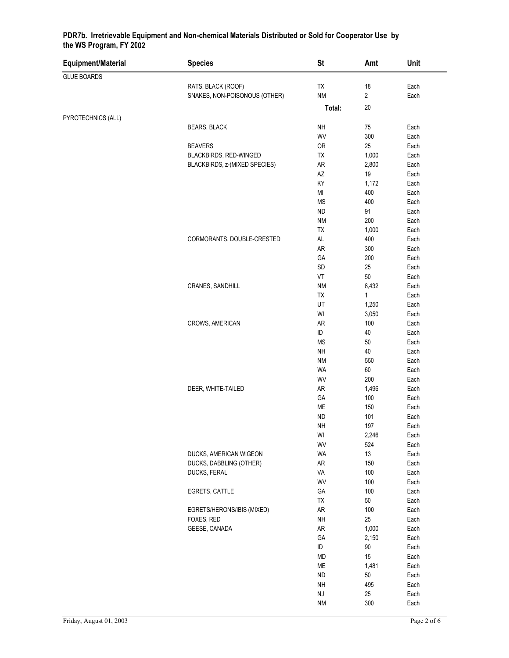| Equipment/Material | <b>Species</b>                | <b>St</b>              | Amt          | Unit         |
|--------------------|-------------------------------|------------------------|--------------|--------------|
| <b>GLUE BOARDS</b> |                               |                        |              |              |
|                    | RATS, BLACK (ROOF)            | TX                     | 18           | Each         |
|                    | SNAKES, NON-POISONOUS (OTHER) | <b>NM</b>              | 2            | Each         |
|                    |                               | Total:                 | 20           |              |
| PYROTECHNICS (ALL) |                               |                        |              |              |
|                    | <b>BEARS, BLACK</b>           | <b>NH</b>              | ${\bf 75}$   | Each         |
|                    |                               | WV                     | 300          | Each         |
|                    | <b>BEAVERS</b>                | <b>OR</b>              | 25           | Each         |
|                    | BLACKBIRDS, RED-WINGED        | TX                     | 1,000        | Each         |
|                    | BLACKBIRDS, z-(MIXED SPECIES) | ${\sf AR}$             | 2,800        | Each         |
|                    |                               | $\mathsf{A}\mathsf{Z}$ | 19           | Each         |
|                    |                               | KY                     | 1,172        | Each         |
|                    |                               | MI                     | 400          | Each         |
|                    |                               | MS                     | 400          | Each         |
|                    |                               | <b>ND</b>              | 91           | Each         |
|                    |                               | <b>NM</b>              | 200          | Each         |
|                    |                               | TX                     | 1,000        | Each         |
|                    | CORMORANTS, DOUBLE-CRESTED    | $\mathsf{AL}$          | 400          | Each         |
|                    |                               | AR                     | 300<br>200   | Each         |
|                    |                               | GA<br>SD               | 25           | Each<br>Each |
|                    |                               | VT                     | 50           | Each         |
|                    | CRANES, SANDHILL              | <b>NM</b>              | 8,432        | Each         |
|                    |                               | TX                     | $\mathbf{1}$ | Each         |
|                    |                               | UT                     | 1,250        | Each         |
|                    |                               | WI                     | 3,050        | Each         |
|                    | CROWS, AMERICAN               | AR                     | 100          | Each         |
|                    |                               | ID                     | 40           | Each         |
|                    |                               | <b>MS</b>              | 50           | Each         |
|                    |                               | <b>NH</b>              | 40           | Each         |
|                    |                               | <b>NM</b>              | 550          | Each         |
|                    |                               | WA                     | 60           | Each         |
|                    |                               | WV                     | 200          | Each         |
|                    | DEER, WHITE-TAILED            | ${\sf AR}$             | 1,496        | Each         |
|                    |                               | GA                     | 100          | Each         |
|                    |                               | ME                     | 150          | Each         |
|                    |                               | <b>ND</b>              | 101          | Each         |
|                    |                               | <b>NH</b>              | 197          | Each         |
|                    |                               | WI                     | 2,246        | Each         |
|                    |                               | WV                     | 524          | Each         |
|                    | DUCKS, AMERICAN WIGEON        | WA                     | 13           | Each         |
|                    | DUCKS, DABBLING (OTHER)       | ${\sf AR}$             | 150          | Each         |
|                    | DUCKS, FERAL                  | VA                     | 100          | Each         |
|                    |                               | WV                     | 100<br>100   | Each         |
|                    | EGRETS, CATTLE                | GA<br>TX               | 50           | Each<br>Each |
|                    | EGRETS/HERONS/IBIS (MIXED)    | AR                     | 100          | Each         |
|                    | FOXES, RED                    | $\sf NH$               | 25           | Each         |
|                    | GEESE, CANADA                 | AR                     | 1,000        | Each         |
|                    |                               | GA                     | 2,150        | Each         |
|                    |                               | ID                     | $90\,$       | Each         |
|                    |                               | MD                     | 15           | Each         |
|                    |                               | ME                     | 1,481        | Each         |
|                    |                               | <b>ND</b>              | 50           | Each         |
|                    |                               | $\sf NH$               | 495          | Each         |
|                    |                               | $\mathsf{N}\mathsf{J}$ | 25           | Each         |
|                    |                               | NM                     | 300          | Each         |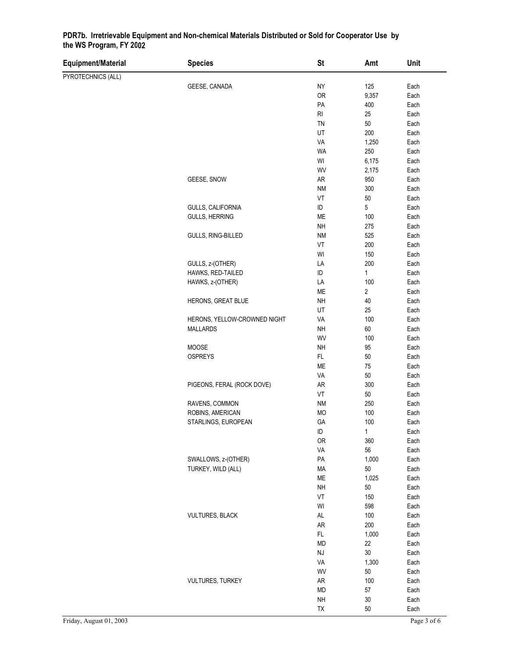| Equipment/Material | <b>Species</b>               | <b>St</b>              | Amt          | Unit |
|--------------------|------------------------------|------------------------|--------------|------|
| PYROTECHNICS (ALL) |                              |                        |              |      |
|                    | GEESE, CANADA                | NY                     | 125          | Each |
|                    |                              | <b>OR</b>              | 9,357        | Each |
|                    |                              | PA                     | 400          | Each |
|                    |                              | RI                     | 25           | Each |
|                    |                              | TN                     | 50           | Each |
|                    |                              | UT                     | 200          | Each |
|                    |                              | VA                     | 1,250        | Each |
|                    |                              | WA                     | 250          | Each |
|                    |                              | WI                     | 6,175        | Each |
|                    |                              | WV                     | 2,175        | Each |
|                    | GEESE, SNOW                  | AR                     | 950          | Each |
|                    |                              | <b>NM</b>              | 300          | Each |
|                    |                              | VT                     | $50\,$       | Each |
|                    | GULLS, CALIFORNIA            | ID                     | 5            | Each |
|                    | <b>GULLS, HERRING</b>        | <b>ME</b>              | 100          | Each |
|                    |                              | <b>NH</b>              | 275          | Each |
|                    |                              |                        |              |      |
|                    | GULLS, RING-BILLED           | <b>NM</b>              | 525          | Each |
|                    |                              | VT                     | 200          | Each |
|                    |                              | WI                     | 150          | Each |
|                    | GULLS, z-(OTHER)             | LA                     | 200          | Each |
|                    | HAWKS, RED-TAILED            | $\sf ID$               | $\mathbf{1}$ | Each |
|                    | HAWKS, z-(OTHER)             | LA                     | 100          | Each |
|                    |                              | ME                     | 2            | Each |
|                    | HERONS, GREAT BLUE           | <b>NH</b>              | 40           | Each |
|                    |                              | UT                     | 25           | Each |
|                    | HERONS, YELLOW-CROWNED NIGHT | VA                     | 100          | Each |
|                    | <b>MALLARDS</b>              | <b>NH</b>              | 60           | Each |
|                    |                              | WV                     | 100          | Each |
|                    | MOOSE                        | <b>NH</b>              | 95           | Each |
|                    | <b>OSPREYS</b>               | FL                     | $50\,$       | Each |
|                    |                              | ME                     | 75           | Each |
|                    |                              | VA                     | 50           | Each |
|                    | PIGEONS, FERAL (ROCK DOVE)   | <b>AR</b>              | 300          | Each |
|                    |                              | VT                     | 50           | Each |
|                    | RAVENS, COMMON               | <b>NM</b>              | 250          | Each |
|                    | ROBINS, AMERICAN             | <b>MO</b>              | 100          | Each |
|                    | STARLINGS, EUROPEAN          | GA                     | 100          | Each |
|                    |                              | ID                     | $\mathbf{1}$ | Each |
|                    |                              | <b>OR</b>              | 360          | Each |
|                    |                              | VA                     | 56           | Each |
|                    | SWALLOWS, z-(OTHER)          | PA                     | 1,000        | Each |
|                    | TURKEY, WILD (ALL)           | <b>MA</b>              | $50\,$       | Each |
|                    |                              | ME                     | 1,025        | Each |
|                    |                              | <b>NH</b>              | $50\,$       | Each |
|                    |                              | VT                     | 150          | Each |
|                    |                              | WI                     | 598          | Each |
|                    | <b>VULTURES, BLACK</b>       | $\mathsf{AL}$          | 100          | Each |
|                    |                              | AR                     | 200          | Each |
|                    |                              | $\mathsf{FL}$          | 1,000        | Each |
|                    |                              | <b>MD</b>              | 22           | Each |
|                    |                              | $\mathsf{N}\mathsf{J}$ | $30\,$       | Each |
|                    |                              | VA                     | 1,300        | Each |
|                    |                              | WV                     | 50           | Each |
|                    | <b>VULTURES, TURKEY</b>      | <b>AR</b>              | 100          | Each |
|                    |                              | <b>MD</b>              | 57           | Each |
|                    |                              | <b>NH</b>              | $30\,$       | Each |
|                    |                              | TX                     | 50           | Each |
|                    |                              |                        |              |      |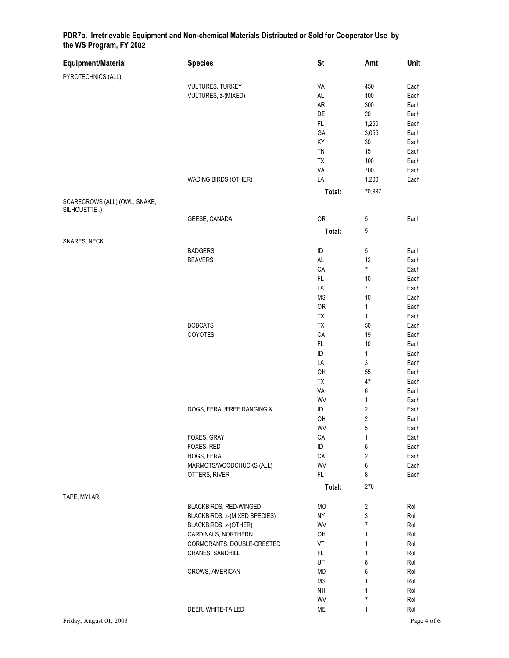| Equipment/Material            | <b>Species</b>                | <b>St</b>     | Amt                     | Unit |
|-------------------------------|-------------------------------|---------------|-------------------------|------|
| PYROTECHNICS (ALL)            |                               |               |                         |      |
|                               | VULTURES, TURKEY              | VA            | 450                     | Each |
|                               | VULTURES, z-(MIXED)           | $\mathsf{AL}$ | 100                     | Each |
|                               |                               | ${\sf AR}$    | 300                     | Each |
|                               |                               | DE            | 20                      | Each |
|                               |                               | $\mathsf{FL}$ | 1,250                   | Each |
|                               |                               | GA            | 3,055                   | Each |
|                               |                               | KY            | 30                      | Each |
|                               |                               | TN            | 15                      | Each |
|                               |                               | TX            | 100                     | Each |
|                               |                               | VA            | 700                     | Each |
|                               |                               | LA            | 1,200                   |      |
|                               | WADING BIRDS (OTHER)          |               |                         | Each |
|                               |                               | Total:        | 70,997                  |      |
| SCARECROWS (ALL) (OWL, SNAKE, |                               |               |                         |      |
| SILHOUETTE)                   |                               |               |                         |      |
|                               | GEESE, CANADA                 | <b>OR</b>     | 5                       | Each |
|                               |                               | Total:        | 5                       |      |
| SNARES, NECK                  |                               |               |                         |      |
|                               | <b>BADGERS</b>                | ID            | 5                       | Each |
|                               | <b>BEAVERS</b>                | AL            | 12                      | Each |
|                               |                               | CA            | $\overline{7}$          | Each |
|                               |                               | FL            | 10                      | Each |
|                               |                               | LA            | $\overline{7}$          | Each |
|                               |                               | <b>MS</b>     | 10                      | Each |
|                               |                               | <b>OR</b>     | $\mathbf{1}$            | Each |
|                               |                               | TX            | $\mathbf{1}$            | Each |
|                               | <b>BOBCATS</b>                | TX            | 50                      | Each |
|                               | COYOTES                       | CA            | 19                      | Each |
|                               |                               | FL            | 10                      | Each |
|                               |                               |               |                         |      |
|                               |                               | ID            | $\mathbf{1}$            | Each |
|                               |                               | LA            | 3                       | Each |
|                               |                               | OH            | 55                      | Each |
|                               |                               | TX            | 47                      | Each |
|                               |                               | VA            | 6                       | Each |
|                               |                               | WV            | $\mathbf{1}$            | Each |
|                               | DOGS, FERAL/FREE RANGING &    | ID            | $\sqrt{2}$              | Each |
|                               |                               | OH            | $\sqrt{2}$              | Each |
|                               |                               | WV            | 5                       | Each |
|                               | FOXES, GRAY                   | CA            | $\mathbf{1}$            | Each |
|                               | FOXES, RED                    | ID            | 5                       | Each |
|                               | HOGS, FERAL                   | CA            | $\overline{\mathbf{c}}$ | Each |
|                               | MARMOTS/WOODCHUCKS (ALL)      | WV            | 6                       | Each |
|                               | OTTERS, RIVER                 | FL            | 8                       | Each |
|                               |                               | Total:        | 276                     |      |
| TAPE, MYLAR                   |                               |               |                         |      |
|                               | BLACKBIRDS, RED-WINGED        | MO            | 2                       | Roll |
|                               | BLACKBIRDS, z-(MIXED SPECIES) | NY            | 3                       | Roll |
|                               | BLACKBIRDS, z-(OTHER)         | WV            | 7                       | Roll |
|                               | CARDINALS, NORTHERN           | OH            | 1                       | Roll |
|                               | CORMORANTS, DOUBLE-CRESTED    | VT            | 1                       | Roll |
|                               | CRANES, SANDHILL              | FL.           | $\mathbf{1}$            | Roll |
|                               |                               | UT            | 8                       | Roll |
|                               | CROWS, AMERICAN               | MD            | 5                       | Roll |
|                               |                               | <b>MS</b>     | $\mathbf{1}$            |      |
|                               |                               |               |                         | Roll |
|                               |                               | <b>NH</b>     | 1                       | Roll |
|                               |                               | WV            | 7                       | Roll |
|                               | DEER, WHITE-TAILED            | ME            | 1                       | Roll |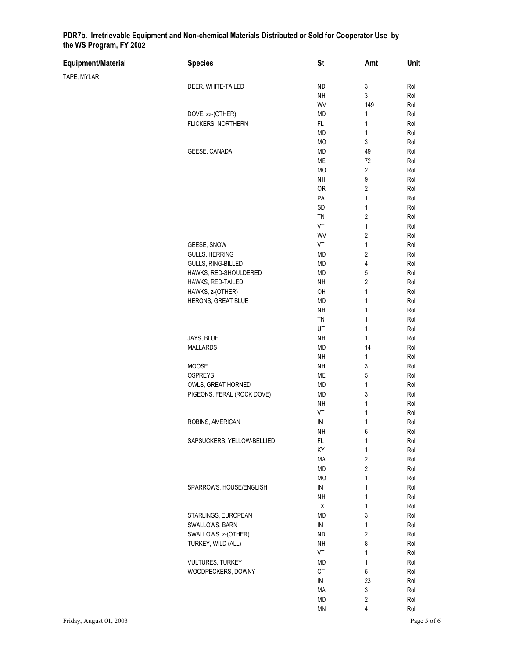| Equipment/Material | <b>Species</b>             | <b>St</b>     | Amt                     | Unit |
|--------------------|----------------------------|---------------|-------------------------|------|
| TAPE, MYLAR        |                            |               |                         |      |
|                    | DEER, WHITE-TAILED         | <b>ND</b>     | 3                       | Roll |
|                    |                            | <b>NH</b>     | 3                       | Roll |
|                    |                            | WV            | 149                     | Roll |
|                    | DOVE, zz-(OTHER)           | <b>MD</b>     | $\mathbf{1}$            | Roll |
|                    | FLICKERS, NORTHERN         | FL            | 1                       | Roll |
|                    |                            | <b>MD</b>     | $\mathbf{1}$            | Roll |
|                    |                            | <b>MO</b>     | 3                       | Roll |
|                    | GEESE, CANADA              | MD            | 49                      | Roll |
|                    |                            | ME            | $72\,$                  | Roll |
|                    |                            | MO            | 2                       | Roll |
|                    |                            | <b>NH</b>     | 9                       | Roll |
|                    |                            | OR            | 2                       | Roll |
|                    |                            | PA            | $\mathbf{1}$            | Roll |
|                    |                            | SD            | $\mathbf{1}$            | Roll |
|                    |                            | TN            | 2                       | Roll |
|                    |                            | VT            | $\mathbf{1}$            | Roll |
|                    |                            | WV            | $\overline{\mathbf{c}}$ | Roll |
|                    | GEESE, SNOW                | VT            | $\mathbf{1}$            | Roll |
|                    | <b>GULLS, HERRING</b>      | MD            | $\overline{\mathbf{c}}$ | Roll |
|                    | GULLS, RING-BILLED         | <b>MD</b>     | 4                       | Roll |
|                    | HAWKS, RED-SHOULDERED      | MD            | 5                       | Roll |
|                    | HAWKS, RED-TAILED          | <b>NH</b>     | $\overline{\mathbf{c}}$ | Roll |
|                    | HAWKS, z-(OTHER)           | OH            | $\mathbf{1}$            | Roll |
|                    | HERONS, GREAT BLUE         | <b>MD</b>     | 1                       | Roll |
|                    |                            | <b>NH</b>     | $\mathbf{1}$            | Roll |
|                    |                            | TN            | 1                       | Roll |
|                    |                            | UT            | $\mathbf{1}$            | Roll |
|                    | JAYS, BLUE                 | <b>NH</b>     | 1                       | Roll |
|                    | <b>MALLARDS</b>            | MD            | 14                      | Roll |
|                    |                            | <b>NH</b>     | 1                       | Roll |
|                    | MOOSE                      | <b>NH</b>     | 3                       | Roll |
|                    | <b>OSPREYS</b>             | ME            | 5                       | Roll |
|                    | OWLS, GREAT HORNED         | MD            | $\mathbf{1}$            | Roll |
|                    | PIGEONS, FERAL (ROCK DOVE) | MD            | 3                       | Roll |
|                    |                            | <b>NH</b>     | 1                       | Roll |
|                    |                            | VT            | 1                       | Roll |
|                    | ROBINS, AMERICAN           | IN            | 1                       | Roll |
|                    |                            | <b>NH</b>     | 6                       | Roll |
|                    | SAPSUCKERS, YELLOW-BELLIED | FL            | 1                       | Roll |
|                    |                            | KY            | 1                       | Roll |
|                    |                            | MA            | $\overline{\mathbf{c}}$ | Roll |
|                    |                            | MD            | $\overline{\mathbf{c}}$ | Roll |
|                    |                            | <b>MO</b>     | 1                       | Roll |
|                    | SPARROWS, HOUSE/ENGLISH    | ${\sf IN}$    | 1                       | Roll |
|                    |                            | <b>NH</b>     | 1                       | Roll |
|                    |                            | TX            | $\mathbf{1}$            | Roll |
|                    | STARLINGS, EUROPEAN        | <b>MD</b>     | 3                       | Roll |
|                    | SWALLOWS, BARN             | ${\sf IN}$    | $\mathbf{1}$            | Roll |
|                    | SWALLOWS, z-(OTHER)        | <b>ND</b>     | $\sqrt{2}$              | Roll |
|                    | TURKEY, WILD (ALL)         | <b>NH</b>     | 8                       | Roll |
|                    |                            | VT            | 1                       | Roll |
|                    | <b>VULTURES, TURKEY</b>    | <b>MD</b>     | $\mathbf{1}$            | Roll |
|                    | WOODPECKERS, DOWNY         | CT            | 5                       | Roll |
|                    |                            | IN            | 23                      | Roll |
|                    |                            | MA            | 3                       | Roll |
|                    |                            | MD            | $\overline{\mathbf{c}}$ | Roll |
|                    |                            | $\textsf{MN}$ | 4                       | Roll |
|                    |                            |               |                         |      |